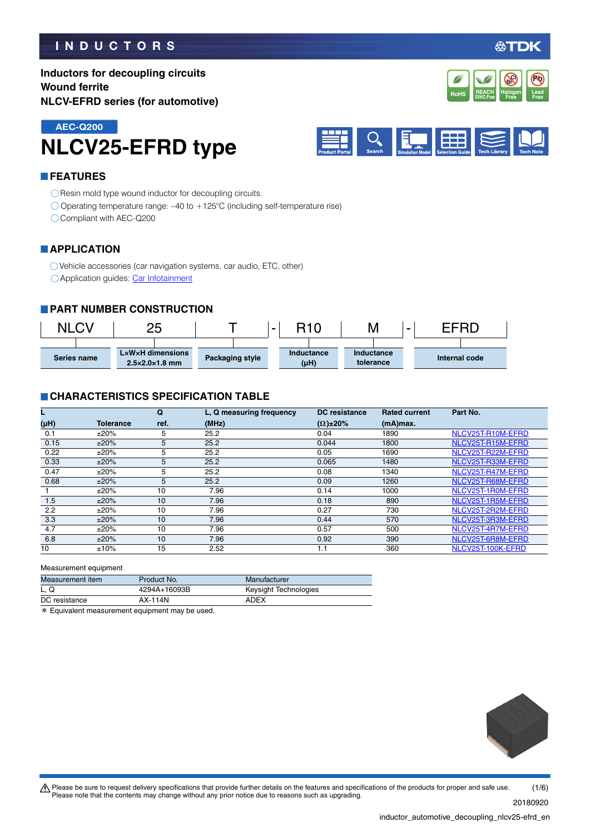### **INDUCTORS**

公TDK

**Pb**

**REACH** Halogen Lead<br>SVHC-Free Free Free **RoHS** SVHC-Free **Free Free** 

**Halogen Free Br Cl**

**REACH**

**Inductors for decoupling circuits Wound ferrite NLCV-EFRD series (for automotive)**





#### **FEATURES**

O Resin mold type wound inductor for decoupling circuits.

Operating temperature range: –40 to +125°C (including self-temperature rise)

Compliant with AEC-Q200

#### **APPLICATION**

Vehicle accessories (car navigation systems, car audio, ETC, other)

O Application guides: [Car Infotainment](https://product.tdk.com/info/en/applicationguide/car_infotainment/index.html?utm_source=inductor_automotive_decoupling_nlcv25-efrd_en.pdf&utm_medium=catalog)

#### **PART NUMBER CONSTRUCTION**



#### **CHARACTERISTICS SPECIFICATION TABLE**

|      |           | Q    | L. Q measuring frequency | <b>DC</b> resistance | <b>Rated current</b> | Part No.          |
|------|-----------|------|--------------------------|----------------------|----------------------|-------------------|
| (µH) | Tolerance | ref. | (MHz)                    | $(\Omega) \pm 20\%$  | (mA)max.             |                   |
| 0.1  | ±20%      | 5    | 25.2                     | 0.04                 | 1890                 | NLCV25T-R10M-EFRD |
| 0.15 | ±20%      | 5    | 25.2                     | 0.044                | 1800                 | NLCV25T-R15M-EFRD |
| 0.22 | ±20%      | 5    | 25.2                     | 0.05                 | 1690                 | NLCV25T-R22M-EFRD |
| 0.33 | ±20%      | 5    | 25.2                     | 0.065                | 1480                 | NLCV25T-R33M-EFRD |
| 0.47 | ±20%      | 5    | 25.2                     | 0.08                 | 1340                 | NLCV25T-R47M-EFRD |
| 0.68 | ±20%      | 5    | 25.2                     | 0.09                 | 1260                 | NLCV25T-R68M-EFRD |
|      | ±20%      | 10   | 7.96                     | 0.14                 | 1000                 | NLCV25T-1R0M-EFRD |
| 1.5  | ±20%      | 10   | 7.96                     | 0.18                 | 890                  | NLCV25T-1R5M-EFRD |
| 2.2  | ±20%      | 10   | 7.96                     | 0.27                 | 730                  | NLCV25T-2R2M-EFRD |
| 3.3  | ±20%      | 10   | 7.96                     | 0.44                 | 570                  | NLCV25T-3R3M-EFRD |
| 4.7  | ±20%      | 10   | 7.96                     | 0.57                 | 500                  | NLCV25T-4R7M-EFRD |
| 6.8  | ±20%      | 10   | 7.96                     | 0.92                 | 390                  | NLCV25T-6R8M-EFRD |
| 10   | ±10%      | 15   | 2.52                     | 1.1                  | 360                  | NLCV25T-100K-EFRD |

Measurement equipment

| Measurement item | Product No.  | Manufacturer          |
|------------------|--------------|-----------------------|
| L. Q             | 4294A+16093B | Keysight Technologies |
| DC resistance    | AX-114N      | ADEX                  |
| .                |              |                       |

\* Equivalent measurement equipment may be used.



t Please be sure to request delivery specifications that provide further details on the features and specifications of the products for proper and safe use. Please note that the contents may change without any prior notice due to reasons such as upgrading. (1/6)

20180920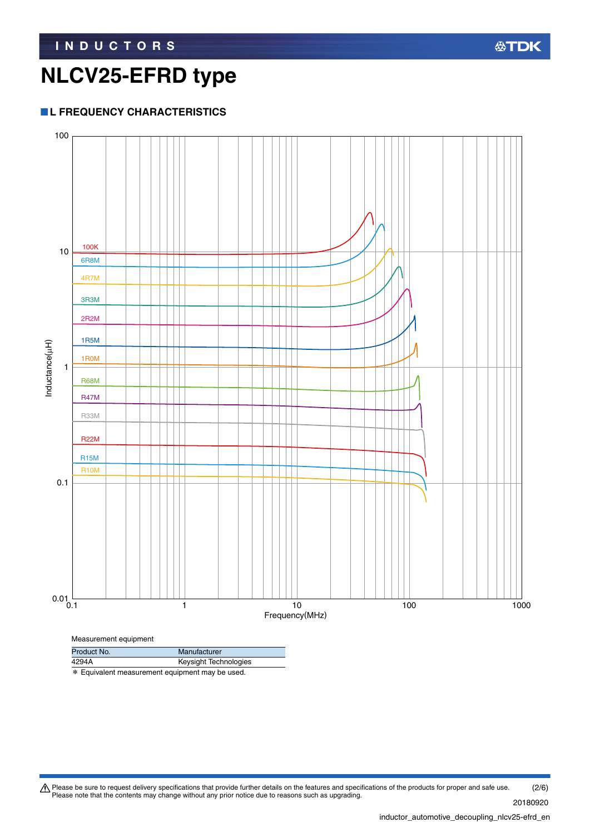#### **L FREQUENCY CHARACTERISTICS**



\* Equivalent measurement equipment may be used.

Please be sure to request delivery specifications that provide further details on the features and specifications of the products for proper and safe use.<br>Please note that the contents may change without any prior notice d (2/6)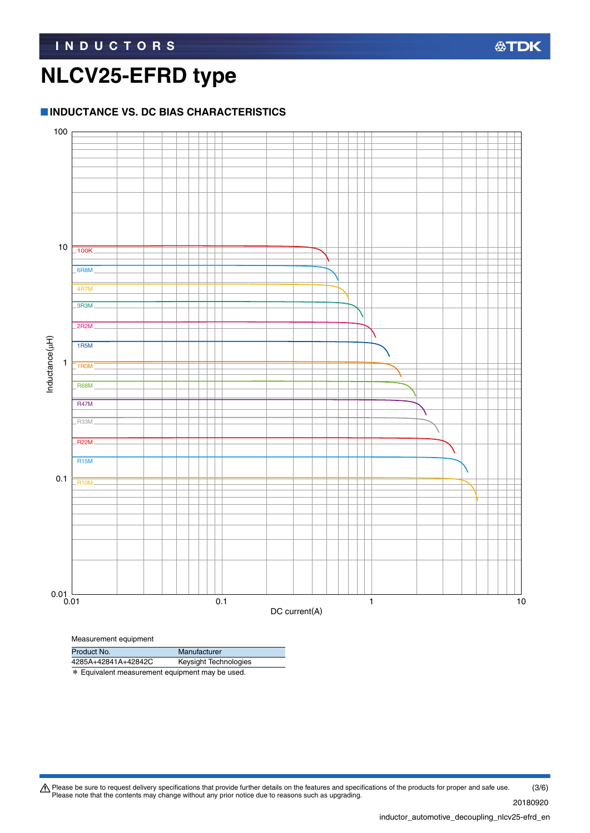#### **INDUCTANCE VS. DC BIAS CHARACTERISTICS**



| Product No. | Manufacturer |
|-------------|--------------|
|             |              |

4285A+42841A+42842C Keysight Technologies

\* Equivalent measurement equipment may be used.

Please be sure to request delivery specifications that provide further details on the features and specifications of the products for proper and safe use.<br>Please note that the contents may change without any prior notice d (3/6)

20180920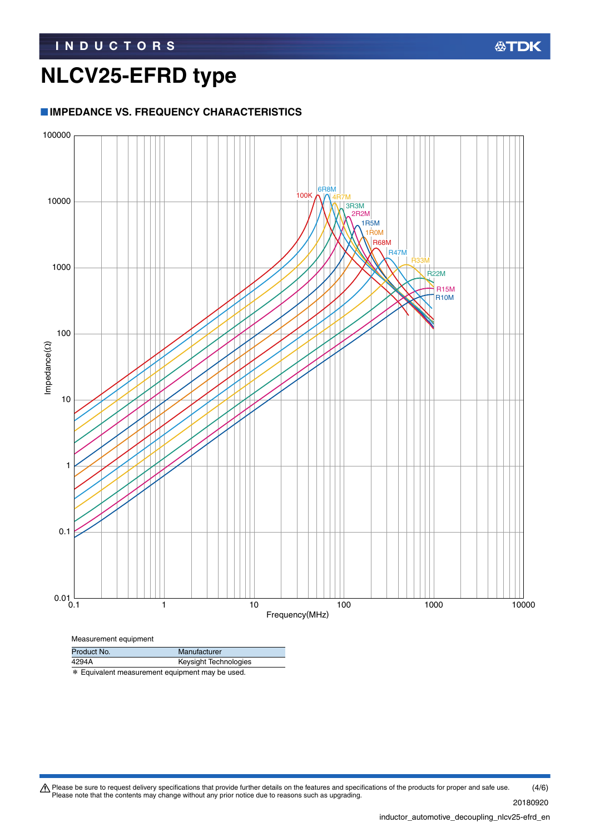#### **IMPEDANCE VS. FREQUENCY CHARACTERISTICS**



\* Equivalent measurement equipment may be used.

Please be sure to request delivery specifications that provide further details on the features and specifications of the products for proper and safe use.<br>Please note that the contents may change without any prior notice d (4/6)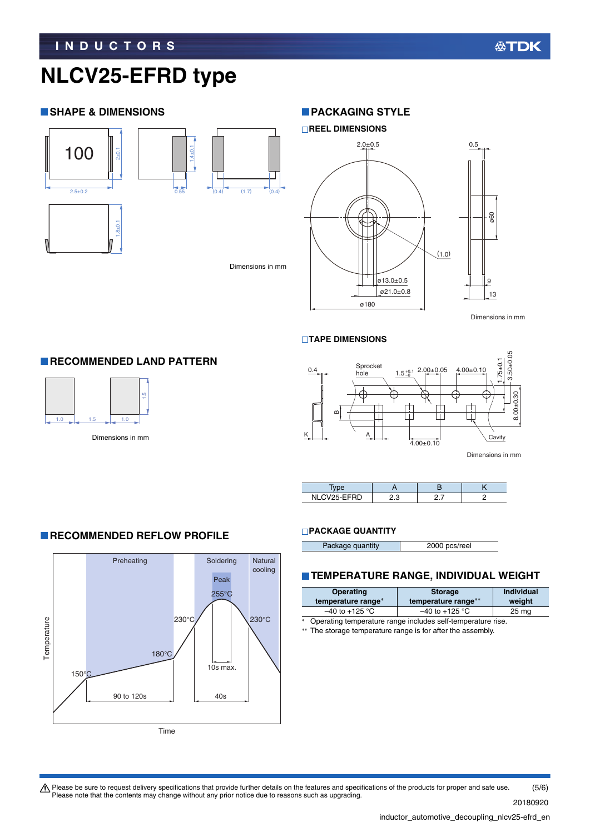#### **SHAPE & DIMENSIONS**





Dimensions in mm

**REEL DIMENSIONS**

**PACKAGING STYLE** 



#### **TAPE DIMENSIONS**



Dimensions in mm

| " CVSE FFRD<br>ΝI | c |  |
|-------------------|---|--|

#### **PACKAGE QUANTITY**

| 2000 pcs/reel<br>Package quantity |
|-----------------------------------|
|-----------------------------------|

#### **TEMPERATURE RANGE, INDIVIDUAL WEIGHT**

| <b>Operating</b><br>temperature range*                           | <b>Storage</b><br>temperature range** | <b>Individual</b><br>weight |
|------------------------------------------------------------------|---------------------------------------|-----------------------------|
| $-40$ to +125 °C<br>$-40$ to $+125$ °C<br>25 <sub>mg</sub>       |                                       |                             |
| Operating temperature range includes self-temperature rise.<br>* |                                       |                             |

\*\* The storage temperature range is for after the assembly.



Time

Please be sure to request delivery specifications that provide further details on the features and specifications of the products for proper and safe use.<br>Please note that the contents may change without any prior notice d (5/6)

### **RECOMMENDED REFLOW PROFILE**

**RECOMMENDED LAND PATTERN** 

 $\begin{array}{c|c} \hline 1.5 & \multicolumn{1}{c} \end{array}$  Dimensions in mm

 $1.0$ 

20180920